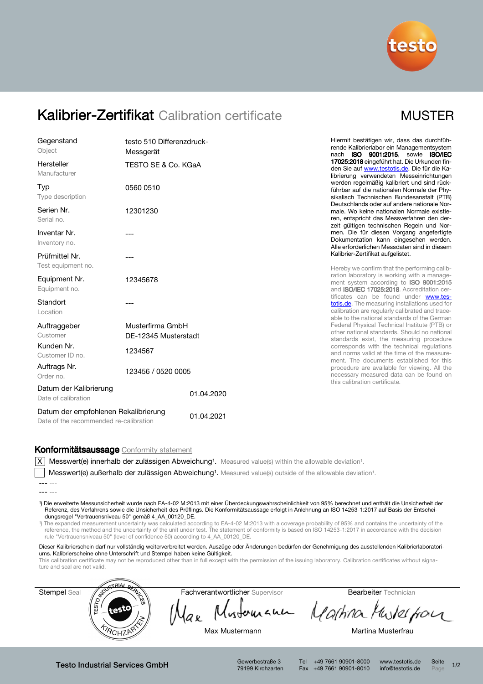

# Kalibrier-Zertifikat Calibration certificate

| MUSTER |
|--------|
|--------|

| Gegenstand<br>Object                                                           | testo 510 Differenzdruck-<br>Messgerät   |            | Hiermit bestätigen wir, dass das durchfüh-<br>rende Kalibrierlabor ein Managementsystem<br>nach ISO 9001:2015, sowie ISO/IEC                                                                                                                                                                                                                                                                                                                                         |  |  |
|--------------------------------------------------------------------------------|------------------------------------------|------------|----------------------------------------------------------------------------------------------------------------------------------------------------------------------------------------------------------------------------------------------------------------------------------------------------------------------------------------------------------------------------------------------------------------------------------------------------------------------|--|--|
| Hersteller<br>Manufacturer                                                     | TESTO SE & Co. KGaA                      |            | 17025:2018 eingeführt hat. Die Urkunden fin-<br>den Sie auf www.testotis.de. Die für die Ka-<br>librierung verwendeten Messeinrichtungen                                                                                                                                                                                                                                                                                                                             |  |  |
| Typ<br>Type description                                                        | 0560 0510                                |            | werden regelmäßig kalibriert und sind rück-<br>führbar auf die nationalen Normale der Phy-<br>sikalisch Technischen Bundesanstalt (PTB)<br>Deutschlands oder auf andere nationale Nor-<br>male. Wo keine nationalen Normale existie-<br>ren, entspricht das Messverfahren den der-<br>zeit gültigen technischen Regeln und Nor-<br>men. Die für diesen Vorgang angefertigte<br>Dokumentation kann eingesehen werden.<br>Alle erforderlichen Messdaten sind in diesem |  |  |
| Serien Nr.<br>Serial no.                                                       | 12301230                                 |            |                                                                                                                                                                                                                                                                                                                                                                                                                                                                      |  |  |
| Inventar Nr.<br>Inventory no.                                                  |                                          |            |                                                                                                                                                                                                                                                                                                                                                                                                                                                                      |  |  |
| Prüfmittel Nr.<br>Test equipment no.                                           |                                          |            | Kalibrier-Zertifikat aufgelistet.<br>Hereby we confirm that the performing calib-                                                                                                                                                                                                                                                                                                                                                                                    |  |  |
| Equipment Nr.<br>Equipment no.                                                 | 12345678                                 |            | ration laboratory is working with a manage-<br>ment system according to ISO 9001:2015<br>and <b>ISO/IEC 17025:2018</b> . Accreditation cer-                                                                                                                                                                                                                                                                                                                          |  |  |
| Standort<br>Location                                                           | ---                                      |            | tificates can be found under www.tes-<br>totis.de. The measuring installations used for<br>calibration are regularly calibrated and trace-<br>able to the national standards of the German                                                                                                                                                                                                                                                                           |  |  |
| Auftraggeber<br>Customer                                                       | Musterfirma GmbH<br>DE-12345 Musterstadt |            | Federal Physical Technical Institute (PTB) or<br>other national standards. Should no national<br>standards exist, the measuring procedure                                                                                                                                                                                                                                                                                                                            |  |  |
| Kunden Nr.<br>Customer ID no.                                                  | 1234567                                  |            | corresponds with the technical regulations<br>and norms valid at the time of the measure-<br>ment. The documents established for this                                                                                                                                                                                                                                                                                                                                |  |  |
| Auftrags Nr.<br>Order no.                                                      | 123456 / 0520 0005                       |            | procedure are available for viewing. All the<br>necessary measured data can be found on<br>this calibration certificate.                                                                                                                                                                                                                                                                                                                                             |  |  |
| Datum der Kalibrierung<br>Date of calibration                                  |                                          | 01.04.2020 |                                                                                                                                                                                                                                                                                                                                                                                                                                                                      |  |  |
| Datum der empfohlenen Rekalibrierung<br>Date of the recommended re-calibration |                                          | 01.04.2021 |                                                                                                                                                                                                                                                                                                                                                                                                                                                                      |  |  |

#### Konformitätsaussage Conformity statement

 $\overline{X}$  Messwert(e) innerhalb der zulässigen Abweichung<sup>1</sup>. Measured value(s) within the allowable deviation<sup>1</sup>.

Messwert(e) außerhalb der zulässigen Abweichung<sup>1</sup>. Measured value(s) outside of the allowable deviation<sup>1</sup>.

¹) Die erweiterte Messunsicherheit wurde nach EA-4-02 M:2013 mit einer Überdeckungswahrscheinlichkeit von 95% berechnet und enthält die Unsicherheit der Referenz, des Verfahrens sowie die Unsicherheit des Prüflings. Die Konformitätsaussage erfolgt in Anlehnung an ISO 14253-1:2017 auf Basis der Entscheidungsregel "Vertrauensniveau 50" gemäß 4\_AA\_00120\_DE.

¹) The expanded measurement uncertainty was calculated according to EA-4-02 M:2013 with a coverage probability of 95% and contains the uncertainty of the reference, the method and the uncertainty of the unit under test. The statement of conformity is based on ISO 14253-1:2017 in accordance with the decision rule "Vertrauensniveau 50" (level of confidence 50) according to 4\_AA\_00120\_DE.

Dieser Kalibrierschein darf nur vollständig weiterverbreitet werden. Auszüge oder Änderungen bedürfen der Genehmigung des ausstellenden Kalibrierlaboratoriums. Kalibrierscheine ohne Unterschrift und Stempel haben keine Gültigkeit.

This calibration certificate may not be reproduced other than in full except with the permission of the issuing laboratory. Calibration certificates without signature and seal are not valid.



79199 Kirchzarten

Tel +49 7661 90901-8000 www.testotis.de Seite 1/2 Fax +49 7661 90901-8010 info@testotis.de Page

<sup>---</sup> ---